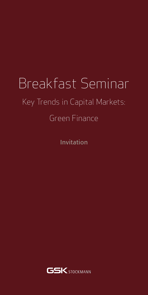## Breakfast Seminar Key Trends in Capital Markets: Green Finance

Invitation

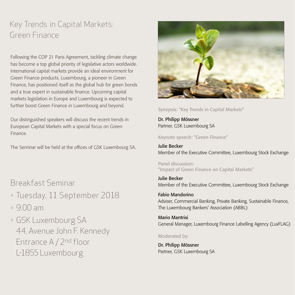## Key Trends in Capital Markets: Green Finance

Following the COP 21 Paris Agreement, tackling climate change has become a top global priority of legislative actors worldwide. International capital markets provide an ideal environment for Green Finance products. Luxembourg, a pioneer in Green Finance, has positioned itself as the global hub for green bonds and a true expert in sustainable finance. Upcoming capital markets legislation in Europe and Luxembourg is expected to further boost Green Finance in Luxembourg and beyond.

Our distinguished speakers will discuss the recent trends in European Capital Markets with a special focus on Green Finance.

The Seminar will be held at the offices of GSK Luxembourg SA.

Breakfast Seminar

- > Tuesday, 11 September 2018
- $> 9.00$  am
- > GSK Luxembourg SA 44, Avenue John F. Kennedy Entrance A / 2nd floor L-1855 Luxembourg



Synopsis: "Key Trends in Capital Markets"

Dr. Philipp Mössner Partner, GSK Luxembourg SA

Keynote speech: "Green Finance"

Julie Becker Member of the Executive Committee, Luxembourg Stock Exchange

Panel discussion: "Impact of Green Finance on Capital Markets"

Julie Becker Member of the Executive Committee, Luxembourg Stock Exchange

Fabio Mandorino Adviser, Commercial Banking, Private Banking, Sustainable Finance, The Luxembourg Bankers' Association (ABBL)

Mario Mantrisi General Manager, Luxembourg Finance Labelling Agency (LuxFLAG)

Moderated by:

Dr. Philipp Mössner Partner, GSK Luxembourg SA